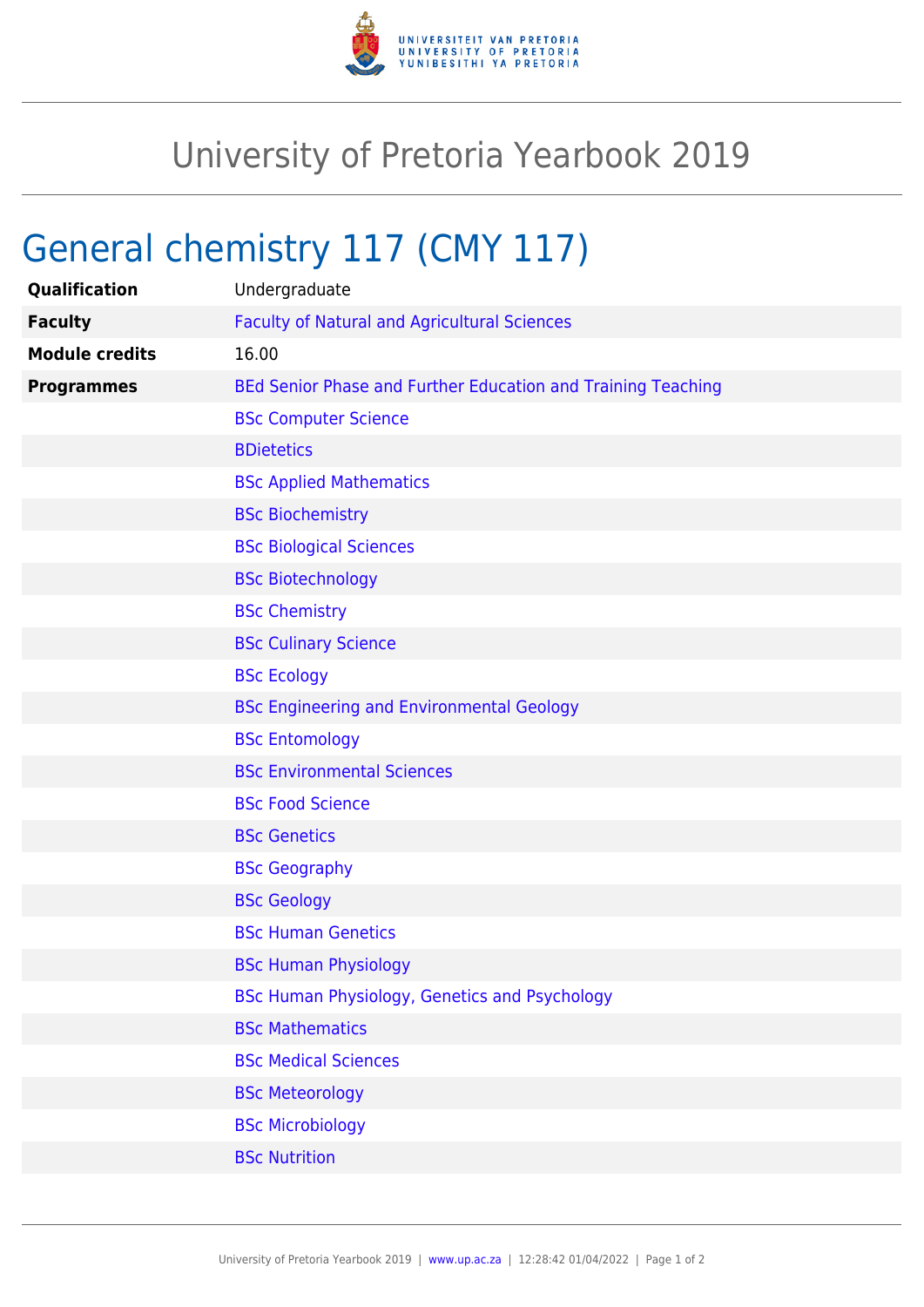

## University of Pretoria Yearbook 2019

## General chemistry 117 (CMY 117)

| <b>Qualification</b>  | Undergraduate                                                |
|-----------------------|--------------------------------------------------------------|
| <b>Faculty</b>        | <b>Faculty of Natural and Agricultural Sciences</b>          |
| <b>Module credits</b> | 16.00                                                        |
| <b>Programmes</b>     | BEd Senior Phase and Further Education and Training Teaching |
|                       | <b>BSc Computer Science</b>                                  |
|                       | <b>BDietetics</b>                                            |
|                       | <b>BSc Applied Mathematics</b>                               |
|                       | <b>BSc Biochemistry</b>                                      |
|                       | <b>BSc Biological Sciences</b>                               |
|                       | <b>BSc Biotechnology</b>                                     |
|                       | <b>BSc Chemistry</b>                                         |
|                       | <b>BSc Culinary Science</b>                                  |
|                       | <b>BSc Ecology</b>                                           |
|                       | <b>BSc Engineering and Environmental Geology</b>             |
|                       | <b>BSc Entomology</b>                                        |
|                       | <b>BSc Environmental Sciences</b>                            |
|                       | <b>BSc Food Science</b>                                      |
|                       | <b>BSc Genetics</b>                                          |
|                       | <b>BSc Geography</b>                                         |
|                       | <b>BSc Geology</b>                                           |
|                       | <b>BSc Human Genetics</b>                                    |
|                       | <b>BSc Human Physiology</b>                                  |
|                       | BSc Human Physiology, Genetics and Psychology                |
|                       | <b>BSc Mathematics</b>                                       |
|                       | <b>BSc Medical Sciences</b>                                  |
|                       | <b>BSc Meteorology</b>                                       |
|                       | <b>BSc Microbiology</b>                                      |
|                       | <b>BSc Nutrition</b>                                         |
|                       |                                                              |